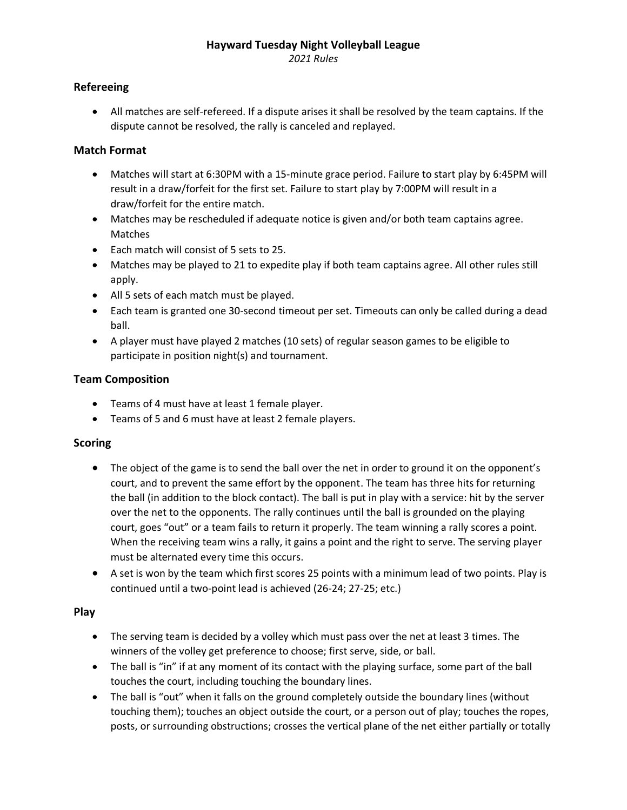## **Hayward Tuesday Night Volleyball League**

*2021 Rules*

# **Refereeing**

• All matches are self-refereed. If a dispute arises it shall be resolved by the team captains. If the dispute cannot be resolved, the rally is canceled and replayed.

## **Match Format**

- Matches will start at 6:30PM with a 15-minute grace period. Failure to start play by 6:45PM will result in a draw/forfeit for the first set. Failure to start play by 7:00PM will result in a draw/forfeit for the entire match.
- Matches may be rescheduled if adequate notice is given and/or both team captains agree. Matches
- Each match will consist of 5 sets to 25.
- Matches may be played to 21 to expedite play if both team captains agree. All other rules still apply.
- All 5 sets of each match must be played.
- Each team is granted one 30-second timeout per set. Timeouts can only be called during a dead ball.
- A player must have played 2 matches (10 sets) of regular season games to be eligible to participate in position night(s) and tournament.

## **Team Composition**

- Teams of 4 must have at least 1 female player.
- Teams of 5 and 6 must have at least 2 female players.

### **Scoring**

- The object of the game is to send the ball over the net in order to ground it on the opponent's court, and to prevent the same effort by the opponent. The team has three hits for returning the ball (in addition to the block contact). The ball is put in play with a service: hit by the server over the net to the opponents. The rally continues until the ball is grounded on the playing court, goes "out" or a team fails to return it properly. The team winning a rally scores a point. When the receiving team wins a rally, it gains a point and the right to serve. The serving player must be alternated every time this occurs.
- A set is won by the team which first scores 25 points with a minimum lead of two points. Play is continued until a two-point lead is achieved (26-24; 27-25; etc.)

### **Play**

- The serving team is decided by a volley which must pass over the net at least 3 times. The winners of the volley get preference to choose; first serve, side, or ball.
- The ball is "in" if at any moment of its contact with the playing surface, some part of the ball touches the court, including touching the boundary lines.
- The ball is "out" when it falls on the ground completely outside the boundary lines (without touching them); touches an object outside the court, or a person out of play; touches the ropes, posts, or surrounding obstructions; crosses the vertical plane of the net either partially or totally